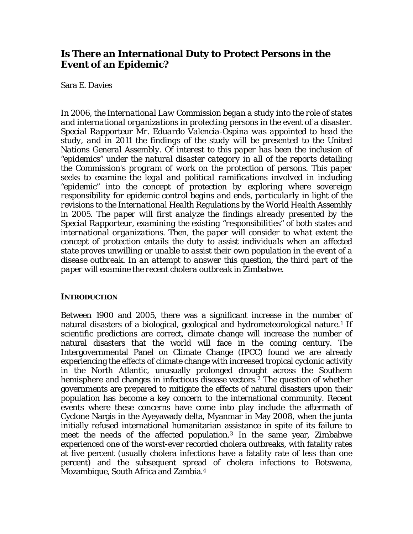# **Is There an International Duty to Protect Persons in the Event of an Epidemic?**

# Sara E. Davies

*In 2006, the International Law Commission began a study into the role of states and international organizations in protecting persons in the event of a disaster. Special Rapporteur Mr. Eduardo Valencia-Ospina was appointed to head the study, and in 2011 the findings of the study will be presented to the United Nations General Assembly. Of interest to this paper has been the inclusion of "epidemics" under the natural disaster category in all of the reports detailing the Commission's program of work on the protection of persons. This paper seeks to examine the legal and political ramifications involved in including "epidemic" into the concept of protection by exploring where sovereign responsibility for epidemic control begins and ends, particularly in light of the revisions to the International Health Regulations by the World Health Assembly in 2005. The paper will first analyze the findings already presented by the Special Rapporteur, examining the existing "responsibilities" of both states and international organizations. Then, the paper will consider to what extent the concept of protection entails the duty to assist individuals when an affected state proves unwilling or unable to assist their own population in the event of a disease outbreak. In an attempt to answer this question, the third part of the paper will examine the recent cholera outbreak in Zimbabwe.* 

## **INTRODUCTION**

Between 1900 and 2005, there was a significant increase in the number of natural disasters of a biological, geological and hydrometeorological nature.<sup>[1](#page-22-0)</sup> If scientific predictions are correct, climate change will increase the number of natural disasters that the world will face in the coming century. The Intergovernmental Panel on Climate Change (IPCC) found we are already experiencing the effects of climate change with increased tropical cyclonic activity in the North Atlantic, unusually prolonged drought across the Southern hemisphere and changes in infectious disease vectors.<sup>[2](#page-22-1)</sup> The question of whether governments are prepared to mitigate the effects of natural disasters upon their population has become a key concern to the international community. Recent events where these concerns have come into play include the aftermath of Cyclone Nargis in the Ayeyawady delta, Myanmar in May 2008, when the junta initially refused international humanitarian assistance in spite of its failure to meet the needs of the affected population.[3](#page-22-1) In the same year, Zimbabwe experienced one of the worst-ever recorded cholera outbreaks, with fatality rates at five percent (usually cholera infections have a fatality rate of less than one percent) and the subsequent spread of cholera infections to Botswana, Mozambique, South Africa and Zambia.[4](#page-22-1)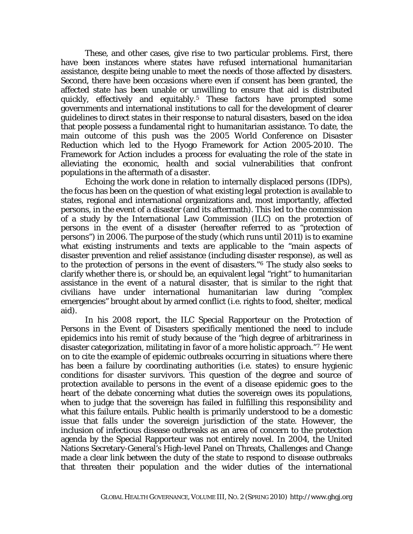These, and other cases, give rise to two particular problems. First, there have been instances where states have refused international humanitarian assistance, despite being unable to meet the needs of those affected by disasters. Second, there have been occasions where even if consent has been granted, the affected state has been unable or unwilling to ensure that aid is distributed quickly, effectively and equitably.[5](#page-22-1) These factors have prompted some governments and international institutions to call for the development of clearer guidelines to direct states in their response to natural disasters, based on the idea that people possess a fundamental right to humanitarian assistance. To date, the main outcome of this push was the 2005 World Conference on Disaster Reduction which led to the Hyogo Framework for Action 2005-2010. The Framework for Action includes a process for evaluating the role of the state in alleviating the economic, health and social vulnerabilities that confront populations in the aftermath of a disaster.

Echoing the work done in relation to internally displaced persons (IDPs), the focus has been on the question of what existing legal protection is available to states, regional and international organizations and, most importantly, affected persons, in the event of a disaster (and its aftermath). This led to the commission of a study by the International Law Commission (ILC) on the protection of persons in the event of a disaster (hereafter referred to as "protection of persons") in 2006. The purpose of the study (which runs until 2011) is to examine what existing instruments and texts are applicable to the "main aspects of disaster prevention and relief assistance (including disaster response), as well as to the protection of persons in the event of disasters."[6](#page-22-1) The study also seeks to clarify whether there is, or should be, an equivalent legal "right" to humanitarian assistance in the event of a natural disaster, that is similar to the right that civilians have under international humanitarian law during "complex emergencies" brought about by armed conflict (i.e. rights to food, shelter, medical aid).

In his 2008 report, the ILC Special Rapporteur on the Protection of Persons in the Event of Disasters specifically mentioned the need to include epidemics into his remit of study because of the "high degree of arbitrariness in disaster categorization, militating in favor of a more holistic approach."[7](#page-22-1) He went on to cite the example of epidemic outbreaks occurring in situations where there has been a failure by coordinating authorities (i.e. states) to ensure hygienic conditions for disaster survivors. This question of the degree and source of protection available to persons in the event of a disease epidemic goes to the heart of the debate concerning what duties the sovereign owes its populations, when to judge that the sovereign has failed in fulfilling this responsibility and what this failure entails. Public health is primarily understood to be a domestic issue that falls under the sovereign jurisdiction of the state. However, the inclusion of infectious disease outbreaks as an area of concern to the protection agenda by the Special Rapporteur was not entirely novel. In 2004, the United Nations Secretary-General's High-level Panel on Threats, Challenges and Change made a clear link between the duty of the state to respond to disease outbreaks that threaten their population *and* the wider duties of the international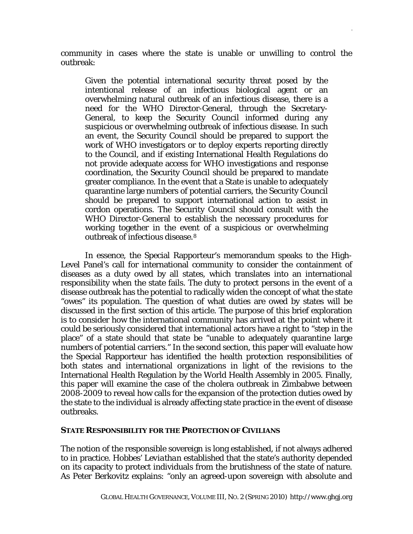community in cases where the state is unable or unwilling to control the outbreak:

Given the potential international security threat posed by the intentional release of an infectious biological agent or an overwhelming natural outbreak of an infectious disease, there is a need for the WHO Director-General, through the Secretary-General, to keep the Security Council informed during any suspicious or overwhelming outbreak of infectious disease. In such an event, the Security Council should be prepared to support the work of WHO investigators or to deploy experts reporting directly to the Council, and if existing International Health Regulations do not provide adequate access for WHO investigations and response coordination, the Security Council should be prepared to mandate greater compliance. In the event that a State is unable to adequately quarantine large numbers of potential carriers, the Security Council should be prepared to support international action to assist in cordon operations. The Security Council should consult with the WHO Director-General to establish the necessary procedures for working together in the event of a suspicious or overwhelming outbreak of infectious disease.[8](#page-22-1)

In essence, the Special Rapporteur's memorandum speaks to the High-Level Panel's call for international community to consider the containment of diseases as a duty owed by all states, which translates into an international responsibility when the state fails. The duty to protect persons in the event of a disease outbreak has the potential to radically widen the concept of what the state "owes" its population. The question of what duties are owed by states will be discussed in the first section of this article. The purpose of this brief exploration is to consider how the international community has arrived at the point where it could be seriously considered that international actors have a right to "step in the place" of a state should that state be "unable to adequately quarantine large numbers of potential carriers." In the second section, this paper will evaluate how the Special Rapporteur has identified the health protection responsibilities of both states and international organizations in light of the revisions to the International Health Regulation by the World Health Assembly in 2005. Finally, this paper will examine the case of the cholera outbreak in Zimbabwe between 2008-2009 to reveal how calls for the expansion of the protection duties owed by the state to the individual is already affecting state practice in the event of disease outbreaks.

## **STATE RESPONSIBILITY FOR THE PROTECTION OF CIVILIANS**

The notion of the responsible sovereign is long established, if not always adhered to in practice. Hobbes' *Leviathan* established that the state's authority depended on its capacity to protect individuals from the brutishness of the state of nature. As Peter Berkovitz explains: "only an agreed-upon sovereign with absolute and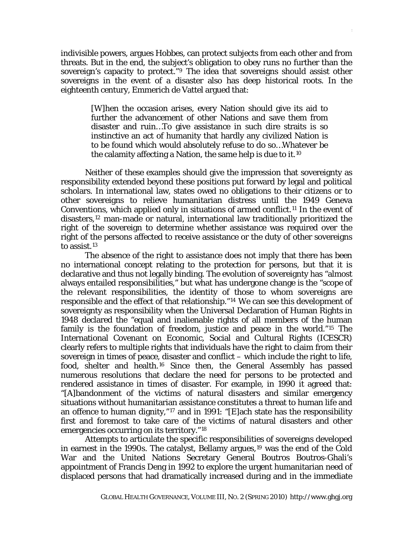indivisible powers, argues Hobbes, can protect subjects from each other and from threats. But in the end, the subject's obligation to obey runs no further than the sovereign's capacity to protect."[9](#page-22-1) The idea that sovereigns should assist other sovereigns in the event of a disaster also has deep historical roots. In the eighteenth century, Emmerich de Vattel argued that:

> [W]hen the occasion arises, every Nation should give its aid to further the advancement of other Nations and save them from disaster and ruin…To give assistance in such dire straits is so instinctive an act of humanity that hardly any civilized Nation is to be found which would absolutely refuse to do so…Whatever be the calamity affecting a Nation, the same help is due to it.[10](#page-22-1)

Neither of these examples should give the impression that sovereignty as responsibility extended beyond these positions put forward by legal and political scholars. In international law, states owed no obligations to their citizens or to other sovereigns to relieve humanitarian distress until the 1949 Geneva Conventions, which applied only in situations of armed conflict.[11](#page-22-1) In the event of disasters,[12](#page-22-1) man-made or natural, international law traditionally prioritized the right of the sovereign to determine whether assistance was required over the right of the persons affected to receive assistance or the duty of other sovereigns to assist.[13](#page-22-1)

The absence of the right to assistance does not imply that there has been no international concept relating to the protection for persons, but that it is declarative and thus not legally binding. The evolution of sovereignty has "almost always entailed responsibilities," but what has undergone change is the "scope of the relevant responsibilities, the identity of those to whom sovereigns are responsible and the effect of that relationship."[14](#page-22-1) We can see this development of sovereignty as responsibility when the Universal Declaration of Human Rights in 1948 declared the "equal and inalienable rights of all members of the human family is the foundation of freedom, justice and peace in the world."[15](#page-22-1) The International Covenant on Economic, Social and Cultural Rights (ICESCR) clearly refers to multiple rights that individuals have the right to claim from their sovereign in times of peace, disaster and conflict – which include the right to life, food, shelter and health.[16](#page-22-1) Since then, the General Assembly has passed numerous resolutions that declare the need for persons to be protected and rendered assistance in times of disaster. For example, in 1990 it agreed that: "[A]bandonment of the victims of natural disasters and similar emergency situations without humanitarian assistance constitutes a threat to human life and an offence to human dignity,"[17](#page-22-1) and in 1991: "[E]ach state has the responsibility first and foremost to take care of the victims of natural disasters and other emergencies occurring on its territory."[18](#page-22-1)

Attempts to articulate the specific responsibilities of sovereigns developed in earnest in the [19](#page-22-1)90s. The catalyst, Bellamy argues,<sup>19</sup> was the end of the Cold War and the United Nations Secretary General Boutros Boutros-Ghali's appointment of Francis Deng in 1992 to explore the urgent humanitarian need of displaced persons that had dramatically increased during and in the immediate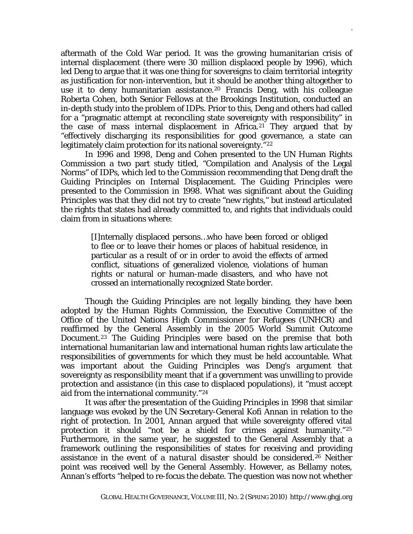aftermath of the Cold War period. It was the growing humanitarian crisis of internal displacement (there were 30 million displaced people by 1996), which led Deng to argue that it was one thing for sovereigns to claim territorial integrity as justification for non-intervention, but it should be another thing altogether to use it to deny humanitarian assistance.<sup>[20](#page-22-1)</sup> Francis Deng, with his colleague Roberta Cohen, both Senior Fellows at the Brookings Institution, conducted an in-depth study into the problem of IDPs. Prior to this, Deng and others had called for a "pragmatic attempt at reconciling state sovereignty with responsibility" in the case of mass internal displacement in Africa.[21](#page-22-1) They argued that by "effectively discharging its responsibilities for good governance, a state can legitimately claim protection for its national sovereignty."<sup>[22](#page-22-1)</sup>

In 1996 and 1998, Deng and Cohen presented to the UN Human Rights Commission a two part study titled, "Compilation and Analysis of the Legal Norms" of IDPs, which led to the Commission recommending that Deng draft the Guiding Principles on Internal Displacement. The Guiding Principles were presented to the Commission in 1998. What was significant about the Guiding Principles was that they did not try to create "new rights," but instead articulated the rights that states had already committed to, and rights that individuals could claim from in situations where:

> [I]nternally displaced persons…who have been forced or obliged to flee or to leave their homes or places of habitual residence, in particular as a result of or in order to avoid the effects of armed conflict, situations of generalized violence, violations of human rights or natural or human-made disasters, and who have not crossed an internationally recognized State border.

Though the Guiding Principles are not legally binding, they have been adopted by the Human Rights Commission, the Executive Committee of the Office of the United Nations High Commissioner for Refugees (UNHCR) and reaffirmed by the General Assembly in the 2005 World Summit Outcome Document.[23](#page-22-1) The Guiding Principles were based on the premise that both international humanitarian law and international human rights law articulate the responsibilities of governments for which they must be held accountable. What was important about the Guiding Principles was Deng's argument that sovereignty as responsibility meant that if a government was unwilling to provide protection and assistance (in this case to displaced populations), it "*must* accept aid from the international community."[24](#page-22-1)

It was after the presentation of the Guiding Principles in 1998 that similar language was evoked by the UN Secretary-General Kofi Annan in relation to the right of protection. In 2001, Annan argued that while sovereignty offered vital protection it should "not be a shield for crimes against humanity."<sup>[25](#page-22-1)</sup> Furthermore, in the same year, he suggested to the General Assembly that a framework outlining the responsibilities of states for receiving and providing assistance in the *event of a natural disaster* should be considered.[26](#page-22-1) Neither point was received well by the General Assembly. However, as Bellamy notes, Annan's efforts "helped to re-focus the debate. The question was now not whether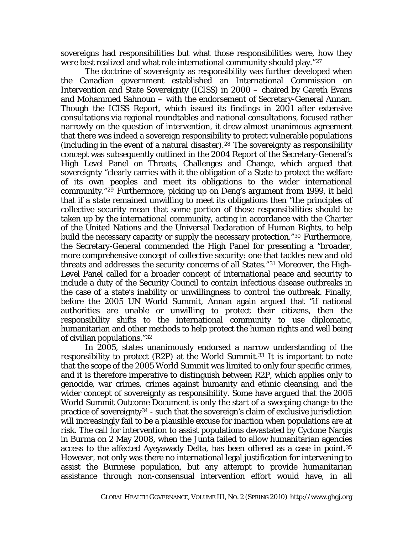sovereigns had responsibilities but what those responsibilities were, how they were best realized and what role international community should play."<sup>[27](#page-22-1)</sup>

The doctrine of sovereignty as responsibility was further developed when the Canadian government established an International Commission on Intervention and State Sovereignty (ICISS) in 2000 – chaired by Gareth Evans and Mohammed Sahnoun – with the endorsement of Secretary-General Annan. Though the ICISS Report, which issued its findings in 2001 after extensive consultations via regional roundtables and national consultations, focused rather narrowly on the question of intervention, it drew almost unanimous agreement that there was indeed a sovereign responsibility to protect vulnerable populations (including in the event of a natural disaster).<sup>[28](#page-22-1)</sup> The sovereignty as responsibility concept was subsequently outlined in the 2004 Report of the Secretary-General's High Level Panel on Threats, Challenges and Change, which argued that sovereignty "clearly carries with it the obligation of a State to protect the welfare of its own peoples and meet its obligations to the wider international community."[29](#page-22-1) Furthermore, picking up on Deng's argument from 1999, it held that if a state remained unwilling to meet its obligations then "the principles of collective security mean that some portion of those responsibilities should be taken up by the international community, acting in accordance with the Charter of the United Nations and the Universal Declaration of Human Rights, to help build the necessary capacity or supply the necessary protection."[30](#page-22-1) Furthermore, the Secretary-General commended the High Panel for presenting a "*broader, more comprehensive concept* of collective security: one that tackles new and old threats and addresses the security concerns of all States."[31](#page-22-1) Moreover, the High-Level Panel called for a broader concept of international peace and security to include a duty of the Security Council to contain infectious disease outbreaks in the case of a state's inability or unwillingness to control the outbreak. Finally, before the 2005 UN World Summit, Annan again argued that "if national authorities are unable or unwilling to protect their citizens, then the responsibility shifts to the international community to use diplomatic, humanitarian and other methods to help protect the human rights and well being of civilian populations."[32](#page-22-1)

In 2005, states unanimously endorsed a narrow understanding of the responsibility to protect (R2P) at the World Summit.<sup>[33](#page-22-1)</sup> It is important to note that the scope of the 2005 World Summit was limited to only four specific crimes, and it is therefore imperative to distinguish between R2P, which applies only to genocide, war crimes, crimes against humanity and ethnic cleansing, and the wider concept of sovereignty as responsibility. Some have argued that the 2005 World Summit Outcome Document is only the start of a sweeping change to the practice of sovereignty[34](#page-22-1) - such that the sovereign's claim of exclusive jurisdiction will increasingly fail to be a plausible excuse for inaction when populations are at risk. The call for intervention to assist populations devastated by Cyclone Nargis in Burma on 2 May 2008, when the Junta failed to allow humanitarian agencies access to the affected Ayeyawady Delta, has been offered as a case in point.[35](#page-22-1) However, not only was there no international legal justification for intervening to assist the Burmese population, but any attempt to provide humanitarian assistance through non-consensual intervention effort would have, in all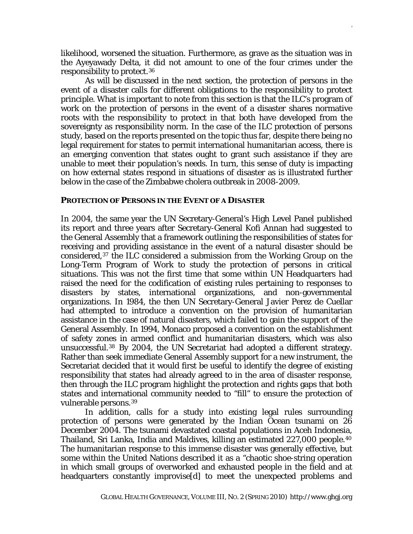likelihood, worsened the situation. Furthermore, as grave as the situation was in the Ayeyawady Delta, it did not amount to one of the four crimes under the responsibility to protect.[36](#page-22-1)

As will be discussed in the next section, the protection of persons in the event of a disaster calls for different obligations to the responsibility to protect principle. What is important to note from this section is that the ILC's program of work on the protection of persons in the event of a disaster shares normative roots with the responsibility to protect in that both have developed from the sovereignty as responsibility norm. In the case of the ILC protection of persons study, based on the reports presented on the topic thus far, despite there being no legal requirement for states to permit international humanitarian access, there is an emerging convention that states ought to grant such assistance if they are unable to meet their population's needs. In turn, this sense of duty is impacting on how external states respond in situations of disaster as is illustrated further below in the case of the Zimbabwe cholera outbreak in 2008-2009.

#### **PROTECTION OF PERSONS IN THE EVENT OF A DISASTER**

In 2004, the same year the UN Secretary-General's High Level Panel published its report and three years after Secretary-General Kofi Annan had suggested to the General Assembly that a framework outlining the responsibilities of states for receiving and providing assistance in the event of a natural disaster should be considered,[37](#page-22-1) the ILC considered a submission from the Working Group on the Long-Term Program of Work to study the protection of persons in critical situations. This was not the first time that some within UN Headquarters had raised the need for the codification of existing rules pertaining to responses to disasters by states, international organizations, and non-governmental organizations. In 1984, the then UN Secretary-General Javier Perez de Cuellar had attempted to introduce a convention on the provision of humanitarian assistance in the case of natural disasters, which failed to gain the support of the General Assembly. In 1994, Monaco proposed a convention on the establishment of safety zones in armed conflict and humanitarian disasters, which was also unsuccessful.[38](#page-22-1) By 2004, the UN Secretariat had adopted a different strategy. Rather than seek immediate General Assembly support for a new instrument, the Secretariat decided that it would first be useful to identify the degree of existing responsibility that states had already agreed to in the area of disaster response, then through the ILC program highlight the protection and rights gaps that both states and international community needed to "fill" to ensure the protection of vulnerable persons.[39](#page-22-1)

In addition, calls for a study into existing legal rules surrounding protection of persons were generated by the Indian Ocean tsunami on 26 December 2004. The tsunami devastated coastal populations in Aceh Indonesia, Thailand, Sri Lanka, India and Maldives, killing an estimated 227,000 people.[40](#page-22-1) The humanitarian response to this immense disaster was generally effective, but some within the United Nations described it as a "chaotic shoe-string operation in which small groups of overworked and exhausted people in the field and at headquarters constantly improvise[d] to meet the unexpected problems and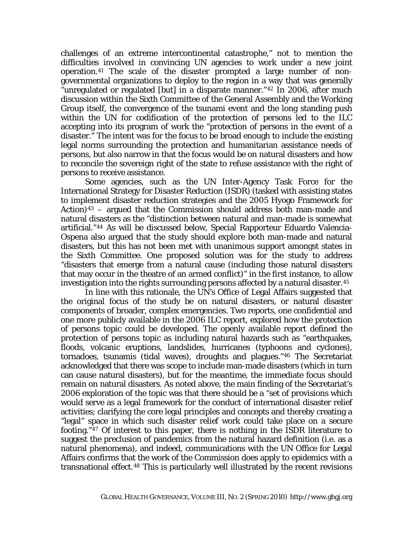challenges of an extreme intercontinental catastrophe," not to mention the difficulties involved in convincing UN agencies to work under a new joint operation.[41](#page-22-1) The scale of the disaster prompted a large number of nongovernmental organizations to deploy to the region in a way that was generally "unregulated or regulated [but] in a disparate manner."[42](#page-22-1) In 2006, after much discussion within the Sixth Committee of the General Assembly and the Working Group itself, the convergence of the tsunami event and the long standing push within the UN for codification of the protection of persons led to the ILC accepting into its program of work the "protection of persons in the event of a disaster." The intent was for the focus to be broad enough to include the existing legal norms surrounding the protection and humanitarian assistance needs of persons, but also narrow in that the focus would be on natural disasters and how to reconcile the sovereign right of the state to refuse assistance with the right of persons to receive assistance.

DAVIES,IS THERE AN INTERNATIONAL DUTY TO PROTECT 8

Some agencies, such as the UN Inter-Agency Task Force for the International Strategy for Disaster Reduction (ISDR) (tasked with assisting states to implement disaster reduction strategies and the 2005 Hyogo Framework for Action)<sup>[43](#page-22-1)</sup> – argued that the Commission should address both man-made and natural disasters as the "distinction between natural and man-made is somewhat artificial."[44](#page-22-1) As will be discussed below, Special Rapporteur Eduardo Valencia-Ospena also argued that the study should explore both man-made and natural disasters, but this has not been met with unanimous support amongst states in the Sixth Committee. One proposed solution was for the study to address "disasters that emerge from a natural cause (including those natural disasters that may occur in the theatre of an armed conflict)" in the first instance, to allow investigation into the rights surrounding persons affected by a natural disaster.<sup>[45](#page-22-1)</sup>

In line with this rationale, the UN's Office of Legal Affairs suggested that the original focus of the study be on natural disasters, or natural disaster components of broader, complex emergencies. Two reports, one confidential and one more publicly available in the 2006 ILC report, explored how the protection of persons topic could be developed. The openly available report defined the protection of persons topic as including natural hazards such as "earthquakes, floods, volcanic eruptions, landslides, hurricanes (typhoons and cyclones), tornadoes, tsunamis (tidal waves), droughts and plagues."[46](#page-22-1) The Secretariat acknowledged that there was scope to include man-made disasters (which in turn can cause natural disasters), but for the meantime, the immediate focus should remain on natural disasters. As noted above, the main finding of the Secretariat's 2006 exploration of the topic was that there should be a "set of provisions which would serve as a legal framework for the conduct of international disaster relief activities; clarifying the core legal principles and concepts and thereby creating a "legal" space in which such disaster relief work could take place on a secure footing."[47](#page-22-1) Of interest to this paper, there is nothing in the ISDR literature to suggest the preclusion of pandemics from the natural hazard definition (i.e. as a natural phenomena), and indeed, communications with the UN Office for Legal Affairs confirms that the work of the Commission does apply to epidemics with a transnational effect.[48](#page-22-1) This is particularly well illustrated by the recent revisions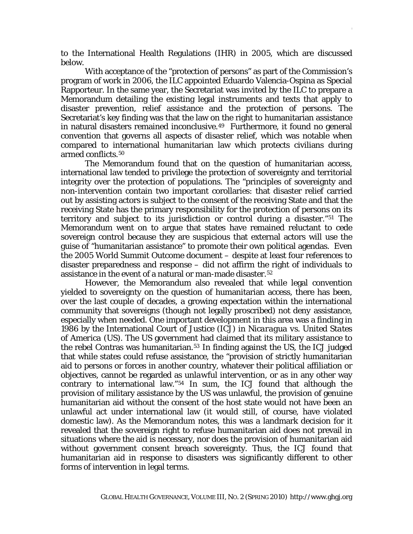to the International Health Regulations (IHR) in 2005, which are discussed below.

With acceptance of the "protection of persons" as part of the Commission's program of work in 2006, the ILC appointed Eduardo Valencia-Ospina as Special Rapporteur. In the same year, the Secretariat was invited by the ILC to prepare a Memorandum detailing the existing legal instruments and texts that apply to disaster prevention, relief assistance and the protection of persons. The Secretariat's key finding was that the law on the right to humanitarian assistance in natural disasters remained inconclusive.[49](#page-22-1) Furthermore, it found no general convention that governs all aspects of disaster relief, which was notable when compared to international humanitarian law which protects civilians during armed conflicts.<sup>[50](#page-22-1)</sup>

The Memorandum found that on the question of humanitarian access, international law tended to privilege the protection of sovereignty and territorial integrity over the protection of populations. The "principles of sovereignty and non-intervention contain two important corollaries: that disaster relief carried out by assisting actors is subject to the consent of the receiving State and that the receiving State has the primary responsibility for the protection of persons on its territory and subject to its jurisdiction or control during a disaster."[51](#page-22-1) The Memorandum went on to argue that states have remained reluctant to cede sovereign control because they are suspicious that external actors will use the guise of "humanitarian assistance" to promote their own political agendas. Even the 2005 World Summit Outcome document – despite at least four references to disaster preparedness and response – did not affirm the right of individuals to assistance in the event of a natural or man-made disaster.[52](#page-22-1)

However, the Memorandum also revealed that while legal convention yielded to sovereignty on the question of humanitarian access, there has been, over the last couple of decades, a growing expectation within the international community that sovereigns (though not legally proscribed) *not deny* assistance, especially when needed. One important development in this area was a finding in 1986 by the International Court of Justice (ICJ) in *Nicaragua vs. United States of America* (US). The US government had claimed that its military assistance to the rebel Contras was humanitarian.<sup>[53](#page-22-1)</sup> In finding against the US, the ICJ judged that while states could refuse assistance, the "provision of strictly humanitarian aid to persons or forces in another country, whatever their political affiliation or objectives, cannot be regarded as *unlawful intervention*, or as in any other way contrary to international law."[54](#page-22-1) In sum, the ICJ found that although the provision of military assistance by the US was unlawful, the provision of genuine humanitarian aid without the consent of the host state would not have been an unlawful act under international law (it would still, of course, have violated domestic law). As the Memorandum notes, this was a landmark decision for it revealed that the sovereign right to refuse humanitarian aid does not prevail in situations where the aid is necessary, nor does the provision of humanitarian aid without government consent breach sovereignty. Thus, the ICJ found that humanitarian aid in response to disasters was significantly different to other forms of intervention in legal terms.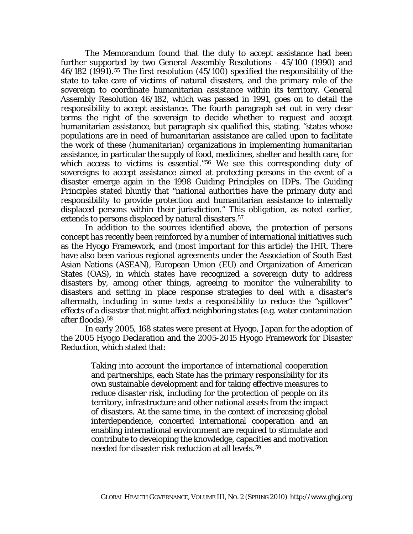The Memorandum found that the duty to accept assistance had been further supported by two General Assembly Resolutions - 45/100 (1990) and 46/182 (1991).[55](#page-22-1) The first resolution (45/100) specified the responsibility of the state to take care of victims of natural disasters, and the primary role of the sovereign to coordinate humanitarian assistance within its territory. General Assembly Resolution 46/182, which was passed in 1991, goes on to detail the responsibility to accept assistance. The fourth paragraph set out in very clear terms the right of the sovereign to decide whether to request and accept humanitarian assistance, but paragraph six qualified this, stating, "states whose populations are in need of humanitarian assistance are called upon to facilitate the work of these (humanitarian) organizations in implementing humanitarian assistance, in particular the supply of food, medicines, shelter and health care, for which access to victims is essential."<sup>[56](#page-22-1)</sup> We see this corresponding duty of sovereigns to accept assistance aimed at protecting persons in the event of a disaster emerge again in the 1998 Guiding Principles on IDPs. The Guiding Principles stated bluntly that "national authorities have the primary duty and responsibility to provide protection and humanitarian assistance to internally displaced persons within their jurisdiction." This obligation, as noted earlier, extends to persons displaced by natural disasters.<sup>[57](#page-22-1)</sup>

In addition to the sources identified above, the protection of persons concept has recently been reinforced by a number of international initiatives such as the Hyogo Framework, and (most important for this article) the IHR. There have also been various regional agreements under the Association of South East Asian Nations (ASEAN), European Union (EU) and Organization of American States (OAS), in which states have recognized a sovereign duty to address disasters by, among other things, agreeing to monitor the vulnerability to disasters and setting in place response strategies to deal with a disaster's aftermath, including in some texts a responsibility to reduce the "spillover" effects of a disaster that might affect neighboring states (e.g. water contamination after floods).[58](#page-22-1)

In early 2005, 168 states were present at Hyogo, Japan for the adoption of the 2005 Hyogo Declaration and the 2005-2015 Hyogo Framework for Disaster Reduction, which stated that:

> Taking into account the importance of international cooperation and partnerships, each State has the primary responsibility for its own sustainable development and for taking effective measures to reduce disaster risk, including for the protection of people on its territory, infrastructure and other national assets from the impact of disasters. At the same time, in the context of increasing global interdependence, concerted international cooperation and an enabling international environment are required to stimulate and contribute to developing the knowledge, capacities and motivation needed for disaster risk reduction at all levels.[59](#page-22-1)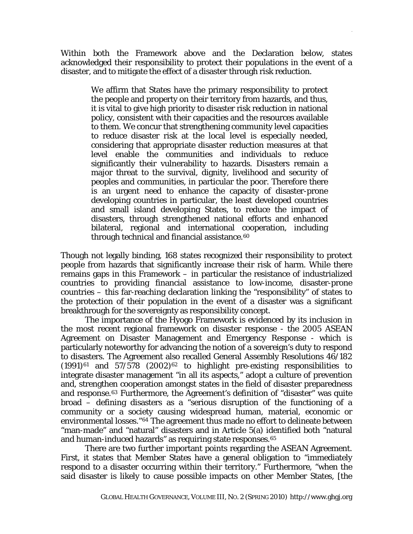Within both the Framework above and the Declaration below, states acknowledged their responsibility to protect their populations in the event of a disaster, and to mitigate the effect of a disaster through risk reduction.

> We affirm that States have the primary responsibility to protect the people and property on their territory from hazards, and thus, it is vital to give high priority to disaster risk reduction in national policy, consistent with their capacities and the resources available to them. We concur that strengthening community level capacities to reduce disaster risk at the local level is especially needed, considering that appropriate disaster reduction measures at that level enable the communities and individuals to reduce significantly their vulnerability to hazards. Disasters remain a major threat to the survival, dignity, livelihood and security of peoples and communities, in particular the poor. Therefore there is an urgent need to enhance the capacity of disaster-prone developing countries in particular, the least developed countries and small island developing States, to reduce the impact of disasters, through strengthened national efforts and enhanced bilateral, regional and international cooperation, including through technical and financial assistance.<sup>[60](#page-22-1)</sup>

Though not legally binding, 168 states recognized their responsibility to protect people from hazards that significantly increase their risk of harm. While there remains gaps in this Framework – in particular the resistance of industrialized countries to providing financial assistance to low-income, disaster-prone countries – this far-reaching declaration linking the "responsibility" of states to the protection of their population in the event of a disaster was a significant breakthrough for the sovereignty as responsibility concept.

The importance of the Hyogo Framework is evidenced by its inclusion in the most recent regional framework on disaster response - the 2005 ASEAN Agreement on Disaster Management and Emergency Response - which is particularly noteworthy for advancing the notion of a sovereign's duty to respond to disasters. The Agreement also recalled General Assembly Resolutions 46/182  $(1991)^{61}$  $(1991)^{61}$  $(1991)^{61}$  and  $57/578$   $(2002)^{62}$  $(2002)^{62}$  $(2002)^{62}$  to highlight pre-existing responsibilities to integrate disaster management "in all its aspects," adopt a culture of prevention and, strengthen cooperation amongst states in the field of disaster preparedness and response.[63](#page-22-1) Furthermore, the Agreement's definition of "disaster" was quite broad – defining disasters as a "serious disruption of the functioning of a community or a society causing widespread human, material, economic or environmental losses."[64](#page-22-1) The agreement thus made no effort to delineate between "man-made" and "natural" disasters and in Article 5(a) identified both "natural and human-induced hazards" as requiring state responses.<sup>[65](#page-22-1)</sup>

There are two further important points regarding the ASEAN Agreement. First, it states that Member States have a general obligation to "immediately respond to a disaster occurring within their territory." Furthermore, "when the said disaster is likely to cause possible impacts on other Member States, [the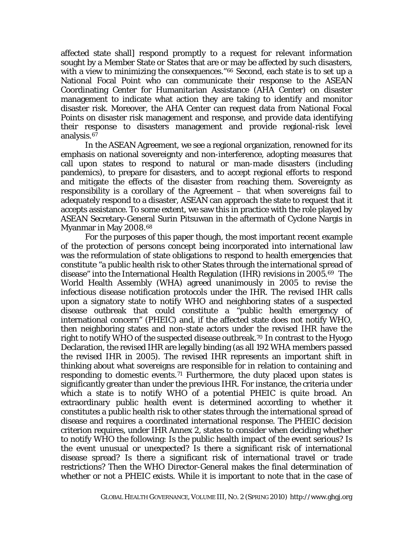affected state shall] respond promptly to a request for relevant information sought by a Member State or States that are or may be affected by such disasters, with a view to minimizing the consequences."<sup>[66](#page-22-1)</sup> Second, each state is to set up a National Focal Point who can communicate their response to the ASEAN Coordinating Center for Humanitarian Assistance (AHA Center) on disaster management to indicate what action they are taking to identify and monitor disaster risk. Moreover, the AHA Center can request data from National Focal Points on disaster risk management and response, and provide data identifying their response to disasters management and provide regional-risk level analysis.<sup>[67](#page-22-1)</sup>

In the ASEAN Agreement, we see a regional organization, renowned for its emphasis on national sovereignty and non-interference, adopting measures that call upon states to respond to natural or man-made disasters (including pandemics), to prepare for disasters, and to accept regional efforts to respond and mitigate the effects of the disaster from reaching them. Sovereignty as responsibility is a corollary of the Agreement – that when sovereigns fail to adequately respond to a disaster, ASEAN can approach the state to request that it accepts assistance. To some extent, we saw this in practice with the role played by ASEAN Secretary-General Surin Pitsuwan in the aftermath of Cyclone Nargis in Myanmar in May 2008.[68](#page-22-1)

For the purposes of this paper though, the most important recent example of the protection of persons concept being incorporated into international law was the reformulation of state obligations to respond to health emergencies that constitute "a public health risk to other States through the international spread of disease" into the International Health Regulation (IHR) revisions in 2005.[69](#page-22-1) The World Health Assembly (WHA) agreed unanimously in 2005 to revise the infectious disease notification protocols under the IHR. The revised IHR calls upon a signatory state to notify WHO and neighboring states of a suspected disease outbreak that could constitute a "public health emergency of international concern" (PHEIC) and, if the affected state does not notify WHO, then neighboring states and non-state actors under the revised IHR have the right to notify WHO of the suspected disease outbreak.[70](#page-22-1) In contrast to the Hyogo Declaration, the revised IHR are legally binding (as all 192 WHA members passed the revised IHR in 2005). The revised IHR represents an important shift in thinking about what sovereigns are responsible for in relation to containing and responding to domestic events.<sup>[71](#page-22-1)</sup> Furthermore, the duty placed upon states is significantly greater than under the previous IHR. For instance, the criteria under which a state is to notify WHO of a potential PHEIC is quite broad. An extraordinary public health event is determined according to whether it constitutes a public health risk to other states through the international spread of disease and requires a coordinated international response. The PHEIC decision criterion requires, under IHR Annex 2, states to consider when deciding whether to notify WHO the following: Is the public health impact of the event serious? Is the event unusual or unexpected? Is there a significant risk of international disease spread? Is there a significant risk of international travel or trade restrictions? Then the WHO Director-General makes the final determination of whether or not a PHEIC exists. While it is important to note that in the case of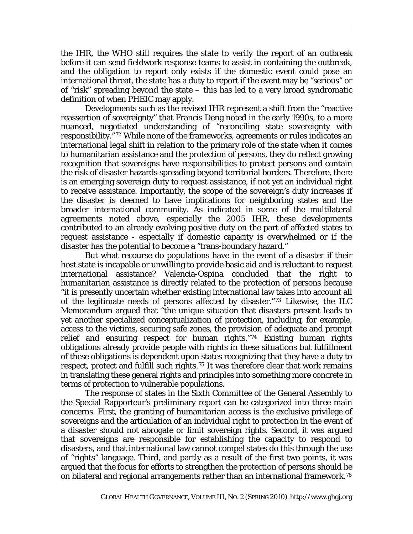the IHR, the WHO still requires the state to verify the report of an outbreak before it can send fieldwork response teams to assist in containing the outbreak, and the obligation to report only exists if the domestic event could pose an international threat, the state has a duty to report if the event may be "serious" or of "risk" spreading beyond the state – this has led to a very broad syndromatic definition of when PHEIC may apply.

Developments such as the revised IHR represent a shift from the "reactive reassertion of sovereignty" that Francis Deng noted in the early 1990s, to a more nuanced, negotiated understanding of "reconciling state sovereignty with responsibility."[72](#page-22-1) While none of the frameworks, agreements or rules indicates an international legal shift in relation to the primary role of the state when it comes to humanitarian assistance and the protection of persons, they do reflect growing recognition that sovereigns have responsibilities to protect persons and contain the risk of disaster hazards spreading beyond territorial borders. Therefore, there is an emerging sovereign duty to request assistance, if not yet an individual right to receive assistance. Importantly, the scope of the sovereign's duty increases if the disaster is deemed to have implications for neighboring states and the broader international community. As indicated in some of the multilateral agreements noted above, especially the 2005 IHR, these developments contributed to an already evolving positive duty on the part of affected states to request assistance - especially if domestic capacity is overwhelmed or if the disaster has the potential to become a "trans-boundary hazard."

But what recourse do populations have in the event of a disaster if their host state is incapable or unwilling to provide basic aid and is reluctant to request international assistance? Valencia-Ospina concluded that the right to humanitarian assistance is directly related to the protection of persons because "it is presently uncertain whether existing international law takes into account all of the legitimate needs of persons affected by disaster."[73](#page-22-1) Likewise, the ILC Memorandum argued that "the unique situation that disasters present leads to yet another specialized conceptualization of protection, including, for example, access to the victims, securing safe zones, the provision of adequate and prompt relief and ensuring respect for human rights."[74](#page-22-1) Existing human rights obligations already provide people with rights in these situations but fulfillment of these obligations is dependent upon states recognizing that they have a duty to respect, protect and fulfill such rights.<sup>[75](#page-22-1)</sup> It was therefore clear that work remains in translating these general rights and principles into something more concrete in terms of protection to vulnerable populations.

The response of states in the Sixth Committee of the General Assembly to the Special Rapporteur's preliminary report can be categorized into three main concerns. First, the granting of humanitarian access is the exclusive privilege of sovereigns and the articulation of an individual right to protection in the event of a disaster should not abrogate or limit sovereign rights. Second, it was argued that sovereigns are responsible for establishing the capacity to respond to disasters, and that international law cannot compel states do this through the use of "rights" language. Third, and partly as a result of the first two points, it was argued that the focus for efforts to strengthen the protection of persons should be on bilateral and regional arrangements rather than an international framework.[76](#page-22-1)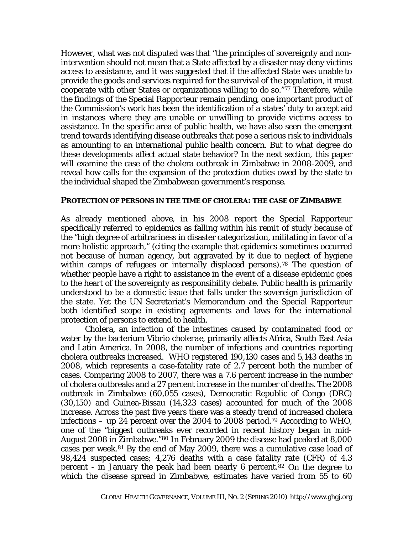However, what was not disputed was that "the principles of sovereignty and nonintervention should not mean that a State affected by a disaster may deny victims access to assistance, and it was suggested that if the affected State was unable to provide the goods and services required for the survival of the population, it must cooperate with other States or organizations willing to do so."[77](#page-22-1) Therefore, while the findings of the Special Rapporteur remain pending, one important product of the Commission's work has been the identification of a states' duty to accept aid in instances where they are unable or unwilling to provide victims access to assistance. In the specific area of public health, we have also seen the emergent trend towards identifying disease outbreaks that pose a serious risk to individuals as amounting to an international public health concern. But to what degree do these developments affect actual state behavior? In the next section, this paper will examine the case of the cholera outbreak in Zimbabwe in 2008-2009, and reveal how calls for the expansion of the protection duties owed by the state to the individual shaped the Zimbabwean government's response.

#### **PROTECTION OF PERSONS IN THE TIME OF CHOLERA: THE CASE OF ZIMBABWE**

As already mentioned above, in his 2008 report the Special Rapporteur specifically referred to epidemics as falling within his remit of study because of the "high degree of arbitrariness in disaster categorization, militating in favor of a more holistic approach," (citing the example that epidemics sometimes occurred not because of human agency, but aggravated by it due to neglect of hygiene within camps of refugees or internally displaced persons).<sup>[78](#page-22-1)</sup> The question of whether people have a right to assistance in the event of a disease epidemic goes to the heart of the sovereignty as responsibility debate. Public health is primarily understood to be a domestic issue that falls under the sovereign jurisdiction of the state. Yet the UN Secretariat's Memorandum and the Special Rapporteur both identified scope in existing agreements and laws for the international protection of persons to extend to health.

Cholera, an infection of the intestines caused by contaminated food or water by the bacterium *Vibrio cholerae*, primarily affects Africa, South East Asia and Latin America. In 2008, the number of infections and countries reporting cholera outbreaks increased. WHO registered 190,130 cases and 5,143 deaths in 2008, which represents a case-fatality rate of 2.7 percent both the number of cases. Comparing 2008 to 2007, there was a 7.6 percent increase in the number of cholera outbreaks and a 27 percent increase in the number of deaths. The 2008 outbreak in Zimbabwe (60,055 cases), Democratic Republic of Congo (DRC) (30,150) and Guinea-Bissau (14,323 cases) accounted for much of the 2008 increase. Across the past five years there was a steady trend of increased cholera infections – up 24 percent over the 2004 to 2008 period.<sup>[79](#page-22-1)</sup> According to WHO, one of the "biggest outbreaks ever recorded in recent history began in mid-August 2008 in Zimbabwe."[80](#page-22-1) In February 2009 the disease had peaked at 8,000 cases per week.[81](#page-22-1) By the end of May 2009, there was a cumulative case load of 98,424 suspected cases; 4,276 deaths with a case fatality rate (CFR) of 4.3 percent - in January the peak had been nearly 6 percent.<sup>[82](#page-22-1)</sup> On the degree to which the disease spread in Zimbabwe, estimates have varied from 55 to 60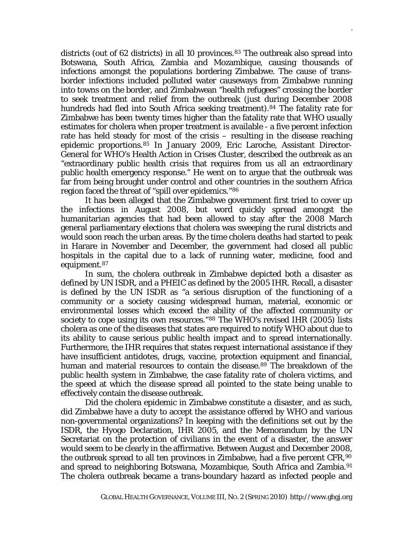districts (out of 62 districts) in all 10 provinces.<sup>[83](#page-22-1)</sup> The outbreak also spread into Botswana, South Africa, Zambia and Mozambique, causing thousands of infections amongst the populations bordering Zimbabwe. The cause of transborder infections included polluted water causeways from Zimbabwe running into towns on the border, and Zimbabwean "health refugees" crossing the border to seek treatment and relief from the outbreak (just during December 2008 hundreds had fled into South Africa seeking treatment).<sup>[84](#page-22-1)</sup> The fatality rate for Zimbabwe has been twenty times higher than the fatality rate that WHO usually estimates for cholera when proper treatment is available - a five percent infection rate has held steady for most of the crisis – resulting in the disease reaching epidemic proportions.[85](#page-22-1) In January 2009, Eric Laroche, Assistant Director-General for WHO's Health Action in Crises Cluster, described the outbreak as an "extraordinary public health crisis that requires from us all an extraordinary public health emergency response." He went on to argue that the outbreak was far from being brought under control and other countries in the southern Africa region faced the threat of "spill over epidemics."[86](#page-22-1)

It has been alleged that the Zimbabwe government first tried to cover up the infections in August 2008, but word quickly spread amongst the humanitarian agencies that had been allowed to stay after the 2008 March general parliamentary elections that cholera was sweeping the rural districts and would soon reach the urban areas. By the time cholera deaths had started to peak in Harare in November and December, the government had closed all public hospitals in the capital due to a lack of running water, medicine, food and equipment.[87](#page-22-1)

In sum, the cholera outbreak in Zimbabwe depicted both a disaster as defined by UN ISDR, and a PHEIC as defined by the 2005 IHR. Recall, a disaster is defined by the UN ISDR as "a serious disruption of the functioning of a community or a society causing widespread human, material, economic or environmental losses which exceed the ability of the affected community or society to cope using its own resources."<sup>[88](#page-22-1)</sup> The WHO's revised IHR (2005) lists cholera as one of the diseases that states are required to notify WHO about due to its ability to cause serious public health impact and to spread internationally. Furthermore, the IHR requires that states request international assistance if they have insufficient antidotes, drugs, vaccine, protection equipment and financial, human and material resources to contain the disease.<sup>[89](#page-22-1)</sup> The breakdown of the public health system in Zimbabwe, the case fatality rate of cholera victims, and the speed at which the disease spread all pointed to the state being unable to effectively contain the disease outbreak.

Did the cholera epidemic in Zimbabwe constitute a disaster, and as such, did Zimbabwe have a duty to accept the assistance offered by WHO and various non-governmental organizations? In keeping with the definitions set out by the ISDR, the Hyogo Declaration, IHR 2005, and the Memorandum by the UN Secretariat on the protection of civilians in the event of a disaster, the answer would seem to be clearly in the affirmative. Between August and December 2008, the outbreak spread to all ten provinces in Zimbabwe, had a five percent CFR,[90](#page-22-1) and spread to neighboring Botswana, Mozambique, South Africa and Zambia.<sup>[91](#page-22-1)</sup> The cholera outbreak became a trans-boundary hazard as infected people and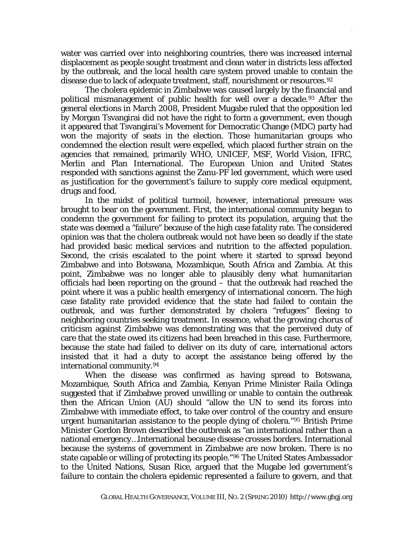water was carried over into neighboring countries, there was increased internal displacement as people sought treatment and clean water in districts less affected by the outbreak, and the local health care system proved unable to contain the disease due to lack of adequate treatment, staff, nourishment or resources. [92](#page-22-1)

The cholera epidemic in Zimbabwe was caused largely by the financial and political mismanagement of public health for well over a decade.<sup>[93](#page-22-1)</sup> After the general elections in March 2008, President Mugabe ruled that the opposition led by Morgan Tsvangirai did not have the right to form a government, even though it appeared that Tsvangirai's Movement for Democratic Change (MDC) party had won the majority of seats in the election. Those humanitarian groups who condemned the election result were expelled, which placed further strain on the agencies that remained, primarily WHO, UNICEF, MSF, World Vision, IFRC, Merlin and Plan International. The European Union and United States responded with sanctions against the Zanu-PF led government, which were used as justification for the government's failure to supply core medical equipment, drugs and food.

In the midst of political turmoil, however, international pressure was brought to bear on the government. First, the international community began to condemn the government for failing to protect its population, arguing that the state was deemed a "failure" because of the high case fatality rate. The considered opinion was that the cholera outbreak would not have been so deadly if the state had provided basic medical services and nutrition to the affected population. Second, the crisis escalated to the point where it started to spread beyond Zimbabwe and into Botswana, Mozambique, South Africa and Zambia. At this point, Zimbabwe was no longer able to plausibly deny what humanitarian officials had been reporting on the ground – that the outbreak had reached the point where it was a public health emergency of international concern. The high case fatality rate provided evidence that the state had *failed* to contain the outbreak, and was further demonstrated by cholera "refugees" fleeing to neighboring countries seeking treatment. In essence, what the growing chorus of criticism against Zimbabwe was demonstrating was that the perceived duty of care that the state owed its citizens had been breached in this case. Furthermore, because the state had failed to deliver on its duty of care, international actors insisted that it had a duty to accept the assistance being offered by the international community.[94](#page-22-1)

When the disease was confirmed as having spread to Botswana, Mozambique, South Africa and Zambia, Kenyan Prime Minister Raila Odinga suggested that if Zimbabwe proved unwilling or unable to contain the outbreak then the African Union (AU) should "allow the UN to send its forces into Zimbabwe with immediate effect, to take over control of the country and ensure urgent humanitarian assistance to the people dying of cholera."[95](#page-22-1) British Prime Minister Gordon Brown described the outbreak as "an international rather than a national emergency…International because disease crosses borders. International because the systems of government in Zimbabwe are now broken. There is no state capable or willing of protecting its people."[96](#page-22-1) The United States Ambassador to the United Nations, Susan Rice, argued that the Mugabe led government's failure to contain the cholera epidemic represented a failure to govern, and that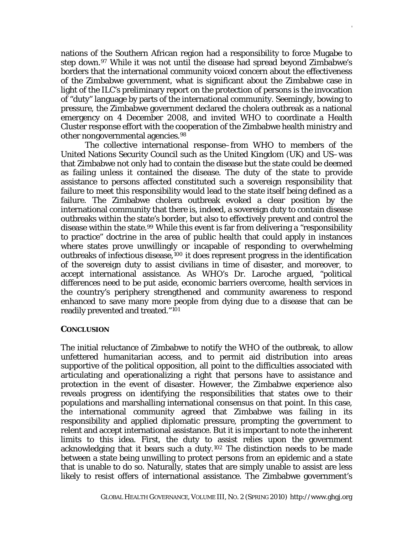nations of the Southern African region had a responsibility to force Mugabe to step down.[97](#page-22-1) While it was not until the disease had spread beyond Zimbabwe's borders that the international community voiced concern about the effectiveness of the Zimbabwe government, what is significant about the Zimbabwe case in light of the ILC's preliminary report on the protection of persons is the invocation of "duty" language by parts of the international community. Seemingly, bowing to pressure, the Zimbabwe government declared the cholera outbreak as a national emergency on 4 December 2008, and invited WHO to coordinate a Health Cluster response effort with the cooperation of the Zimbabwe health ministry and other nongovernmental agencies.[98](#page-22-1)

The collective international response–from WHO to members of the United Nations Security Council such as the United Kingdom (UK) and US–was that Zimbabwe not only had to contain the disease but the state could be deemed as failing unless it contained the disease. The duty of the state to provide assistance to persons affected constituted such a sovereign responsibility that failure to meet this responsibility would lead to the state itself being defined as a failure. The Zimbabwe cholera outbreak evoked a clear position by the international community that there is, indeed, a sovereign duty to contain disease outbreaks within the state's border, but also to effectively prevent and control the disease within the state.[99](#page-22-1) While this event is far from delivering a "responsibility to practice" doctrine in the area of public health that could apply in instances where states prove unwillingly or incapable of responding to overwhelming outbreaks of infectious disease,[100](#page-22-1) it does represent progress in the identification of the sovereign duty to assist civilians in time of disaster, and moreover, to accept international assistance. As WHO's Dr. Laroche argued, "political differences need to be put aside, economic barriers overcome, health services in the country's periphery strengthened and community awareness to respond enhanced to save many more people from dying due to a disease that can be readily prevented and treated."[101](#page-22-1)

## **CONCLUSION**

The initial reluctance of Zimbabwe to notify the WHO of the outbreak, to allow unfettered humanitarian access, and to permit aid distribution into areas supportive of the political opposition, all point to the difficulties associated with articulating and operationalizing a right that persons have to assistance and protection in the event of disaster. However, the Zimbabwe experience also reveals progress on identifying the responsibilities that states owe to their populations and marshalling international consensus on that point. In this case, the international community agreed that Zimbabwe was failing in its responsibility and applied diplomatic pressure, prompting the government to relent and accept international assistance. But it is important to note the inherent limits to this idea. First, the duty to assist relies upon the government acknowledging that it bears such a duty.[102](#page-22-1) The distinction needs to be made between a state being unwilling to protect persons from an epidemic and a state that is unable to do so. Naturally, states that are simply unable to assist are less likely to resist offers of international assistance. The Zimbabwe government's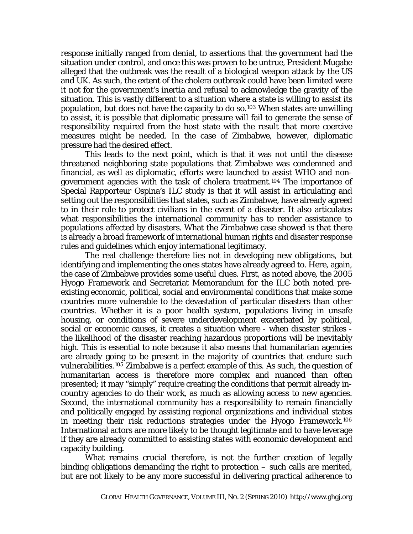response initially ranged from denial, to assertions that the government had the situation under control, and once this was proven to be untrue, President Mugabe alleged that the outbreak was the result of a biological weapon attack by the US and UK. As such, the extent of the cholera outbreak could have been limited were it not for the government's inertia and refusal to acknowledge the gravity of the situation. This is vastly different to a situation where a state is willing to assist its population, but does not have the capacity to do so.[103](#page-22-1) When states are unwilling to assist, it is possible that diplomatic pressure will fail to generate the sense of responsibility required from the host state with the result that more coercive measures might be needed. In the case of Zimbabwe, however, diplomatic pressure had the desired effect.

DAVIES,IS THERE AN INTERNATIONAL DUTY TO PROTECT 18

This leads to the next point, which is that it was not until the disease threatened neighboring state populations that Zimbabwe was condemned and financial, as well as diplomatic, efforts were launched to assist WHO and nongovernment agencies with the task of cholera treatment.[104](#page-22-1) The importance of Special Rapporteur Ospina's ILC study is that it will assist in articulating and setting out the responsibilities that states, such as Zimbabwe, have already agreed to in their role to protect civilians in the event of a disaster. It also articulates what responsibilities the international community has to render assistance to populations affected by disasters. What the Zimbabwe case showed is that there is already a broad framework of international human rights and disaster response rules and guidelines which enjoy international legitimacy.

The real challenge therefore lies not in developing new obligations, but identifying and implementing the ones states have already agreed to. Here, again, the case of Zimbabwe provides some useful clues. First, as noted above, the 2005 Hyogo Framework and Secretariat Memorandum for the ILC both noted preexisting economic, political, social and environmental conditions that make some countries more vulnerable to the devastation of particular disasters than other countries. Whether it is a poor health system, populations living in unsafe housing, or conditions of severe underdevelopment exacerbated by political, social or economic causes, it creates a situation where - when disaster strikes the likelihood of the disaster reaching hazardous proportions will be inevitably high. This is essential to note because it also means that humanitarian agencies are already going to be present in the majority of countries that endure such vulnerabilities.[105](#page-22-1) Zimbabwe is a perfect example of this. As such, the question of humanitarian access is therefore more complex and nuanced than often presented; it may "simply" require creating the conditions that permit already incountry agencies to do their work, as much as allowing access to new agencies. Second, the international community has a responsibility to remain financially and politically engaged by assisting regional organizations and individual states in meeting their risk reductions strategies under the Hyogo Framework.[106](#page-22-1) International actors are more likely to be thought legitimate and to have leverage if they are already committed to assisting states with economic development and capacity building.

What remains crucial therefore, is not the further creation of legally binding obligations demanding the right to protection – such calls are merited, but are not likely to be any more successful in delivering practical adherence to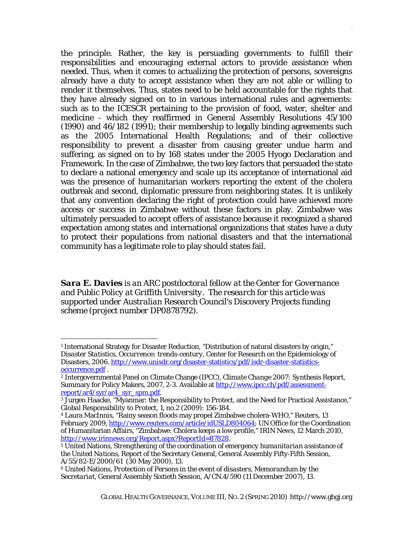the principle. Rather, the key is persuading governments to fulfill their responsibilities and encouraging external actors to provide assistance when needed. Thus, when it comes to actualizing the protection of persons, sovereigns already have a duty to accept assistance when they are not able or willing to render it themselves. Thus, states need to be held accountable for the rights that they have already signed on to in various international rules and agreements: such as to the ICESCR pertaining to the provision of food, water, shelter and medicine - which they reaffirmed in General Assembly Resolutions 45/100 (1990) and 46/182 (1991); their membership to legally binding agreements such as the 2005 International Health Regulations; and of their collective responsibility to prevent a disaster from causing greater undue harm and suffering, as signed on to by 168 states under the 2005 Hyogo Declaration and Framework. In the case of Zimbabwe, the two key factors that persuaded the state to declare a national emergency and scale up its acceptance of international aid was the presence of humanitarian workers reporting the extent of the cholera outbreak and second, diplomatic pressure from neighboring states. It is unlikely that any convention declaring the right of protection could have achieved more access or success in Zimbabwe without these factors in play. Zimbabwe was ultimately persuaded to accept offers of assistance because it recognized a shared expectation among states and international organizations that states have a duty to protect their populations from national disasters and that the international community has a legitimate role to play should states fail.

*Sara E. Davies is an ARC postdoctoral fellow at the Center for Governance and Public Policy at Griffith University*. *The research for this article was supported under Australian Research Council's* Discovery Projects *funding scheme (project number DP0878792).*

 $\overline{a}$ 

<sup>&</sup>lt;sup>1</sup> International Strategy for Disaster Reduction, "Distribution of natural disasters by origin," *Disaster Statistics, Occurrence: trends-century*, Center for Research on the Epidemiology of Disasters, 2006. [http://www.unisdr.org/disaster-statistics/pdf/isdr-disaster-statistics](http://www.unisdr.org/disaster-statistics/pdf/isdr-disaster-statistics-occurrence.pdf)[occurrence.pdf](http://www.unisdr.org/disaster-statistics/pdf/isdr-disaster-statistics-occurrence.pdf) . 2 Intergovernmental Panel on Climate Change (IPCC), *Climate Change 2007: Synthesis Report*,

Summary for Policy Makers, 2007, 2-3. Available at [http://www.ipcc.ch/pdf/assessment](http://www.ipcc.ch/pdf/assessment-report/ar4/syr/ar4_syr_spm.pdf)<u>[report/ar4/syr/ar4\\_syr\\_spm.pdf](http://www.ipcc.ch/pdf/assessment-report/ar4/syr/ar4_syr_spm.pdf)</u>.<br><sup>3</sup> Jurgen Haacke, "Myanmar: the Responsibility to Protect, and the Need for Practical Assistance,"

*Global Responsibility to Protect*, 1, no.2 (2009): 156-184.

<sup>4</sup> Laura MacInnis, "Rainy season floods may propel Zimbabwe cholera-WHO," *Reuters*, 13 February 2009, [http://www.reuters.com/article/idUSLD804064;](http://www.reuters.com/article/idUSLD804064) UN Office for the Coordination of Humanitarian Affairs, "Zimbabwe: Cholera keeps a low profile," *IRIN News*, 12 March 2010, <http://www.irinnews.org/Report.aspx?ReportId=87828>. 5 United Nations, *Strengthening of the coordination of emergency humanitarian assistance of* 

*the United Nations*, Report of the Secretary General, General Assembly Fifty-Fifth Session, A/55/82-E/2000/61 (30 May 2000), 13.

<sup>6</sup> United Nations, *Protection of Persons in the event of disasters, Memorandum by the Secretariat*, General Assembly Sixtieth Session, A/CN.4/590 (11 December 2007), 13.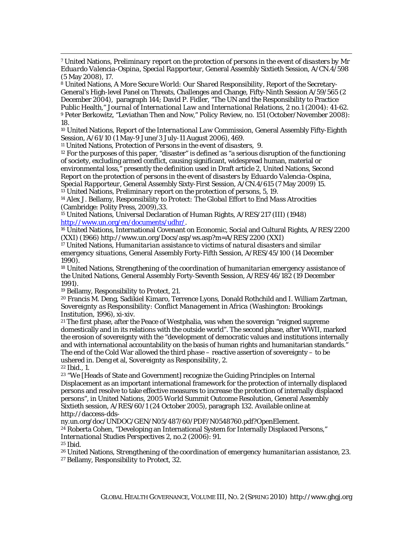8 United Nations, *A More Secure World: Our Shared Responsibility*, Report of the Secretary-General's High-level Panel on Threats, Challenges and Change, Fifty-Ninth Session A/59/565 (2 December 2004), paragraph 144; David P. Fidler, "The UN and the Responsibility to Practice Public Health," *Journal of International Law and International Relations*, 2 no.1 (2004): 41-62. 9 Peter Berkowitz, "Leviathan Then and Now," *Policy Revie*w, no. 151 (October/November 2008): 18.

10 United Nations, *Report of the International Law Commission*, General Assembly Fifty-Eighth Session, A/61/10 (1 May-9 June/3 July-11 August 2006), 469.

11 United Nations, *Protection of Persons in the event of disasters*, 9.

 $12$  For the purposes of this paper, "disaster" is defined as "a serious disruption of the functioning of society, excluding armed conflict, causing significant, widespread human, material or environmental loss," presently the definition used in Draft article 2, United Nations, *Second Report on the protection of persons in the event of disasters by Eduardo Valencia-Ospina, Special Rapporteur*, General Assembly Sixty-First Session, A/CN.4/615 (7 May 2009) 15.

13 United Nations, *Preliminary report on the protection of persons,* 5, 19.

14 Alex J. Bellamy, *Responsibility to Protect: The Global Effort to End Mass Atrocities* (Cambridge: Polity Press, 2009),33.

15 United Nations, Universal Declaration of Human Rights, A/RES/217 (III) (1948)

<http://www.un.org/en/documents/udhr/>.<br><sup>16</sup> United Nations, International Covenant on Economic, Social and Cultural Rights, A/RES/2200 (XXI) (1966) http://www.un.org/Docs/asp/ws.asp?m=A/RES/2200 (XXI)

17 United Nations, *Humanitarian assistance to victims of natural disasters and similar emergency situations*, General Assembly Forty-Fifth Session, A/RES/45/100 (14 December 1990).

18 United Nations, *Strengthening of the coordination of humanitarian emergency assistance of the United Nations*, General Assembly Forty-Seventh Session, A/RES/46/182 (19 December 1991).

19 Bellamy, *Responsibility to Protect*, 21.

20 Francis M. Deng, Sadikiel Kimaro, Terrence Lyons, Donald Rothchild and I. William Zartman, *Sovereignty as Responsibility: Conflict Management in Africa* (Washington: Brookings Institution, 1996), xi-xiv.

21 The first phase, after the Peace of Westphalia, was when the sovereign "reigned supreme domestically and in its relations with the outside world". The second phase, after WWII, marked the erosion of sovereignty with the "development of democratic values and institutions internally and with international accountability on the basis of human rights and humanitarian standards." The end of the Cold War allowed the third phase – reactive assertion of sovereignty – to be ushered in. Deng et al, *Sovereignty as Responsibility*, 2.

<sup>22</sup> *Ibid.*, 1.

 $\overline{a}$ 

23 "We [Heads of State and Government] recognize the Guiding Principles on Internal Displacement as an important international framework for the protection of internally displaced persons and resolve to take effective measures to increase the protection of internally displaced persons", in United Nations, *2005 World Summit Outcome Resolution*, General Assembly Sixtieth session, A/RES/60/1 (24 October 2005), paragraph 132. Available online at http://daccess-dds-

ny.un.org/doc/UNDOC/GEN/N05/487/60/PDF/N0548760.pdf?OpenElement. 24 Roberta Cohen, "Developing an International System for Internally Displaced Persons," *International Studies Perspectives* 2, no.2 (2006): 91. <sup>25</sup> *Ibid.*

26 United Nations, *Strengthening of the coordination of emergency humanitarian assistance*, 23. 27 Bellamy, *Responsibility to Protect*, 32.

<sup>7</sup> United Nations, *Preliminary report on the protection of persons in the event of disasters by Mr Eduardo Valencia-Ospina, Special Rapporteur,* General Assembly Sixtieth Session, A/CN.4/598 (5 May 2008), 17.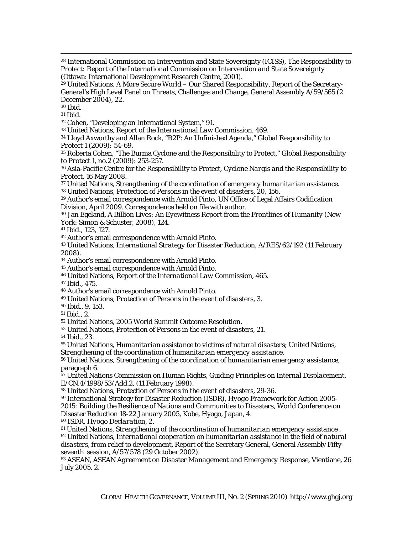28 International Commission on Intervention and State Sovereignty (ICISS), *The Responsibility to Protect: Report of the International Commission on Intervention and State Sovereignty* (Ottawa: International Development Research Centre, 2001).

29 United Nations, *A More Secure World – Our Shared Responsibility*, Report of the Secretary-General's High Level Panel on Threats, Challenges and Change, General Assembly A/59/565 (2 December 2004), 22.

<sup>30</sup> *Ibid.*

 $\overline{a}$ 

<sup>31</sup> *Ibid.*

32 Cohen, "Developing an International System," 91.

33 United Nations, *Report of the International Law Commission*, 469.

34 Lloyd Axworthy and Allan Rock, "R2P: An Unfinished Agenda," *Global Responsibility to Protect* 1 (2009)*:* 54-69.

35 Roberta Cohen, "The Burma Cyclone and the Responsibility to Protect," *Global Responsibility to Protect* 1, no.2 (2009): 253-257.

36 Asia-Pacific Centre for the Responsibility to Protect, *Cyclone Nargis and the Responsibility to Protect*, 16 May 2008.

37 United Nations, *Strengthening of the coordination of emergency humanitarian assistance.*  38 United Nations, *Protection of Persons in the event of disasters*, 20, 156.

39 Author's email correspondence with Arnold Pinto, UN Office of Legal Affairs Codification Division, April 2009. Correspondence held on file with author.

40 Jan Egeland, *A Billion Lives: An Eyewitness Report from the Frontlines of Humanity* (New York: Simon & Schuster, 2008), 124.

<sup>41</sup> *Ibid*., 123, 127.

42 Author's email correspondence with Arnold Pinto.

43 United Nations, *International Strategy for Disaster Reduction*, A/RES/62/192 (11 February 2008).

44 Author's email correspondence with Arnold Pinto.

45 Author's email correspondence with Arnold Pinto.

46 United Nations, *Report of the International Law Commission*, 465.

<sup>47</sup> *Ibid*., 475.

48 Author's email correspondence with Arnold Pinto.

49 United Nations, *Protection of Persons in the event of disasters*, 3.

*50 Ibid*., 9, 153.

<sup>51</sup> *Ibid.*, 2.

52 United Nations, *2005 World Summit Outcome Resolution*. 53 United Nations, *Protection of Persons in the event of disasters*, 21.

<sup>54</sup> *Ibid.,* 23.

55 United Nations, *Humanitarian assistance to victims of natural disasters*; United Nations,

*Strengthening of the coordination of humanitarian emergency assistance*. 56 United Nations, *Strengthening of the coordination of humanitarian emergency assistance*, paragraph 6.

57 United Nations Commission on Human Rights, *Guiding Principles on Internal Displacement*, E/CN.4/1998/53/Add.2, (11 February 1998).

58 United Nations, *Protection of Persons in the event of disasters*, 29-36.

59 International Strategy for Disaster Reduction (ISDR), *Hyogo Framework for Action 2005- 2015: Building the Resilience of Nations and Communities to Disasters*, World Conference on Disaster Reduction 18-22 January 2005, Kobe, Hyogo, Japan, 4.

60 ISDR, *Hyogo Declaration*, 2.

<sup>61</sup> United Nations, *Strengthening of the coordination of humanitarian emergency assistance .*<br><sup>62</sup> United Nations, *International cooperation on humanitarian assistance in the field of natural* 

*disasters, from relief to development*, Report of the Secretary General, General Assembly Fiftyseventh session, A/57/578 (29 October 2002).

63 ASEAN, *ASEAN Agreement on Disaster Management and Emergency Response*, Vientiane, 26 July 2005, 2.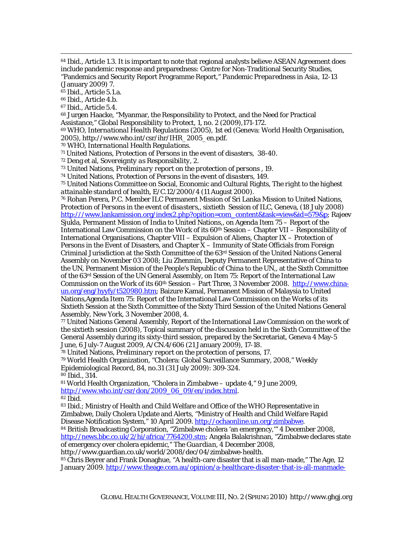<sup>64</sup> *Ibid.*, Article 1.3. It is important to note that regional analysts believe ASEAN Agreement does include pandemic response and preparedness: Centre for Non-Traditional Security Studies, "Pandemics and Security Report Programme Report," *Pandemic Preparedness in Asia*, 12-13 (January 2009) 7.

<sup>65</sup> *Ibid.*, Article 5.1.a.

<sup>66</sup> *Ibid.*, Article 4.b.

 $\overline{a}$ 

<sup>67</sup> *Ibid.*, Article 5.4.

68 Jurgen Haacke, "Myanmar, the Responsibility to Protect, and the Need for Practical Assistance," *Global Responsibility to Protect*, 1, no. 2 (2009),171-172.

69 WHO, *International Health Regulations* (2005), 1st ed (Geneva: World Health Organisation, 2005), http://www.who.int/csr/ihr/IHR\_2005\_en.pdf.

70 WHO, *International Health Regulations*. 71 United Nations, *Protection of Persons in the event of disasters,* 38-40.

72 Deng et al, *Sovereignty as Responsibility*, 2.

73 United Nations, *Preliminary report on the protection of persons* , 19.

74 United Nations, *Protection of Persons in the event of disasters,* 149.

75 United Nations Committee on Social, Economic and Cultural Rights, *The right to the highest attainable standard of health*, E/C.12/2000/4 (11 August 2000).

76 Rohan Perera, P.C. Member ILC Permanent Mission of Sri Lanka Mission to United Nations, *Protection of Persons in the event of disasters*,, sixtieth Session of ILC, Geneva, (18 July 2008) [http:///www.lankamission.org/index2.php?opition=com\\_content&task=view&id=579&p;](http:///www.lankamission.org/index2.php?opition=com_content&task=view&id=579&p) Rajeev

Sjukla, Permanent Mission of India to United Nations,, on Agenda Item 75 – Report of the International Law Commission on the Work of its  $60<sup>th</sup> S$  Session – Chapter VII – Responsibility of International Organisations, Chapter VIII – Expulsion of Aliens, Chapter IX – Protection of Persons in the Event of Disasters, and Chapter X – Immunity of State Officials from Foreign Criminal Jurisdiction at the Sixth Committee of the 63rd Session of the United Nations General Assembly on November 03 2008; Liu Zhenmin, Deputy Permanent Representative of China to the UN, Permanent Mission of the People's Republic of China to the UN,, at the Sixth Committee of the 63rd Session of the UN General Assembly, on Item 75: Report of the International Law Commission on the Work of its 60<sup>th</sup> Session – Part Three, 3 November 2008. [http://www.china](http://www.china-un.org/eng/hyyfy/t520980.htm)[un.org/eng/hyyfy/t520980.htm;](http://www.china-un.org/eng/hyyfy/t520980.htm) Baizure Kamal, Permanent Mission of Malaysia to United Nations,Agenda Item 75: Report of the International Law Commission on the Works of its Sixtieth Session at the Sixth Committee of the Sixty Third Session of the United Nations General Assembly, New York, 3 November 2008, 4.

77 United Nations General Assembly, Report of the International Law Commission on the work of the sixtieth session (2008), Topical summary of the discussion held in the Sixth Committee of the General Assembly during its sixty-third session, prepared by the Secretariat, Geneva 4 May-5 June, 6 July-7 August 2009, A/CN.4/606 (21 January 2009), 17-18.

78 United Nations, *Preliminary report on the protection of persons*, 17.

79 World Health Organization, "Cholera: Global Surveillance Summary, 2008," *Weekly Epidemiological Record*, 84, no.31 (31 July 2009): 309-324. <sup>80</sup> *Ibid.*, 314.

81 World Health Organization, "Cholera in Zimbabwe – update 4," 9 June 2009, [http://www.who.int/csr/don/2009\\_06\\_09/en/index.html.](http://www.who.int/csr/don/2009_06_09/en/index.html) 82 *Ibid.*

<sup>83</sup> *Ibid.*; Ministry of Health and Child Welfare and Office of the WHO Representative in Zimbabwe, Daily Cholera Update and Alerts, "Ministry of Health and Child Welfare Rapid Disease Notification System," 10 April 2009. <http://ochaonline.un.org/zimbabwe>.<br><sup>84</sup> British Broadcasting Corporation, "Zimbabwe cholera 'an emergency,"" 4 December 2008,

[http://news.bbc.co.uk/2/hi/africa/7764200.stm;](http://news.bbc.co.uk/2/hi/africa/7764200.stm) Angela Balakrishnan, "Zimbabwe declares state of emergency over cholera epidemic," *The Guardian*, 4 December 2008,

http://www.guardian.co.uk/world/2008/dec/04/zimbabwe-health.

85 Chris Beyrer and Frank Donaghue, "A health-care disaster that is all man-made," *The Age*, 12 January 2009. [http://www.theage.com.au/opinion/a-healthcare-disaster-that-is-all-manmade-](http://www.theage.com.au/opinion/a-healthcare-disaster-that-is-all-manmade-20090111-7ecl.htm)